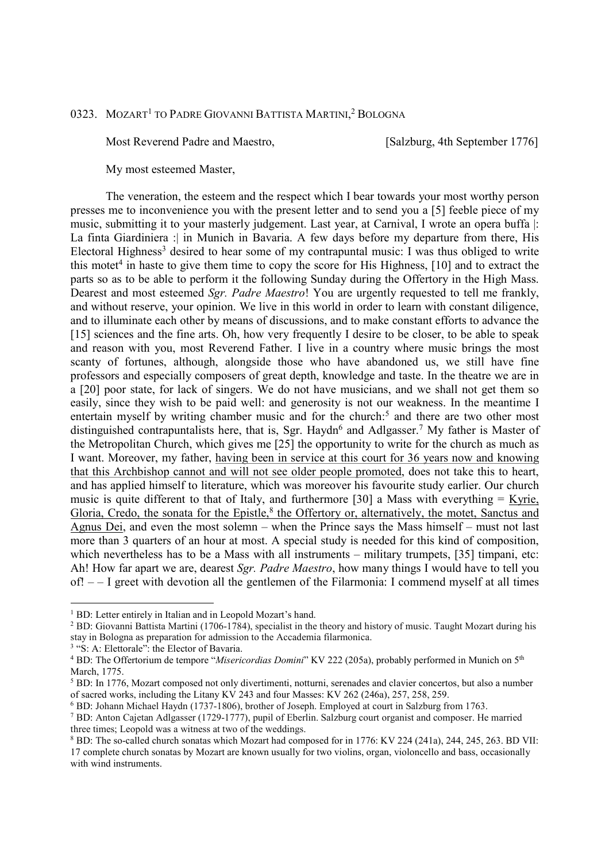## 0323. MOZART<sup>1</sup> to Padre Giovanni Battista Martini,<sup>2</sup> Bologna

Most Reverend Padre and Maestro, [Salzburg, 4th September 1776]

My most esteemed Master,

 The veneration, the esteem and the respect which I bear towards your most worthy person presses me to inconvenience you with the present letter and to send you a [5] feeble piece of my music, submitting it to your masterly judgement. Last year, at Carnival, I wrote an opera buffa |: La finta Giardiniera : in Munich in Bavaria. A few days before my departure from there, His Electoral Highness<sup>3</sup> desired to hear some of my contrapuntal music: I was thus obliged to write this motet<sup>4</sup> in haste to give them time to copy the score for His Highness,  $[10]$  and to extract the parts so as to be able to perform it the following Sunday during the Offertory in the High Mass. Dearest and most esteemed *Sgr. Padre Maestro*! You are urgently requested to tell me frankly, and without reserve, your opinion. We live in this world in order to learn with constant diligence, and to illuminate each other by means of discussions, and to make constant efforts to advance the [15] sciences and the fine arts. Oh, how very frequently I desire to be closer, to be able to speak and reason with you, most Reverend Father. I live in a country where music brings the most scanty of fortunes, although, alongside those who have abandoned us, we still have fine professors and especially composers of great depth, knowledge and taste. In the theatre we are in a [20] poor state, for lack of singers. We do not have musicians, and we shall not get them so easily, since they wish to be paid well: and generosity is not our weakness. In the meantime I entertain myself by writing chamber music and for the church:<sup>5</sup> and there are two other most distinguished contrapuntalists here, that is, Sgr. Haydn<sup>6</sup> and Adlgasser.<sup>7</sup> My father is Master of the Metropolitan Church, which gives me [25] the opportunity to write for the church as much as I want. Moreover, my father, having been in service at this court for 36 years now and knowing that this Archbishop cannot and will not see older people promoted, does not take this to heart, and has applied himself to literature, which was moreover his favourite study earlier. Our church music is quite different to that of Italy, and furthermore [30] a Mass with everything  $=$  Kyrie, Gloria, Credo, the sonata for the Epistle,<sup>8</sup> the Offertory or, alternatively, the motet, Sanctus and Agnus Dei, and even the most solemn – when the Prince says the Mass himself – must not last more than 3 quarters of an hour at most. A special study is needed for this kind of composition, which nevertheless has to be a Mass with all instruments – military trumpets, [35] timpani, etc: Ah! How far apart we are, dearest *Sgr. Padre Maestro*, how many things I would have to tell you of! – – I greet with devotion all the gentlemen of the Filarmonia: I commend myself at all times

-

<sup>&</sup>lt;sup>1</sup> BD: Letter entirely in Italian and in Leopold Mozart's hand.

<sup>&</sup>lt;sup>2</sup> BD: Giovanni Battista Martini (1706-1784), specialist in the theory and history of music. Taught Mozart during his stay in Bologna as preparation for admission to the Accademia filarmonica.

<sup>&</sup>lt;sup>3</sup> "S: A: Elettorale": the Elector of Bavaria.

<sup>&</sup>lt;sup>4</sup> BD: The Offertorium de tempore "*Misericordias Domini*" KV 222 (205a), probably performed in Munich on 5<sup>th</sup> March, 1775.

<sup>&</sup>lt;sup>5</sup> BD: In 1776, Mozart composed not only divertimenti, notturni, serenades and clavier concertos, but also a number of sacred works, including the Litany KV 243 and four Masses: KV 262 (246a), 257, 258, 259.

<sup>6</sup> BD: Johann Michael Haydn (1737-1806), brother of Joseph. Employed at court in Salzburg from 1763.

<sup>7</sup> BD: Anton Cajetan Adlgasser (1729-1777), pupil of Eberlin. Salzburg court organist and composer. He married three times; Leopold was a witness at two of the weddings.

<sup>&</sup>lt;sup>8</sup> BD: The so-called church sonatas which Mozart had composed for in 1776: KV 224 (241a), 244, 245, 263. BD VII: 17 complete church sonatas by Mozart are known usually for two violins, organ, violoncello and bass, occasionally with wind instruments.